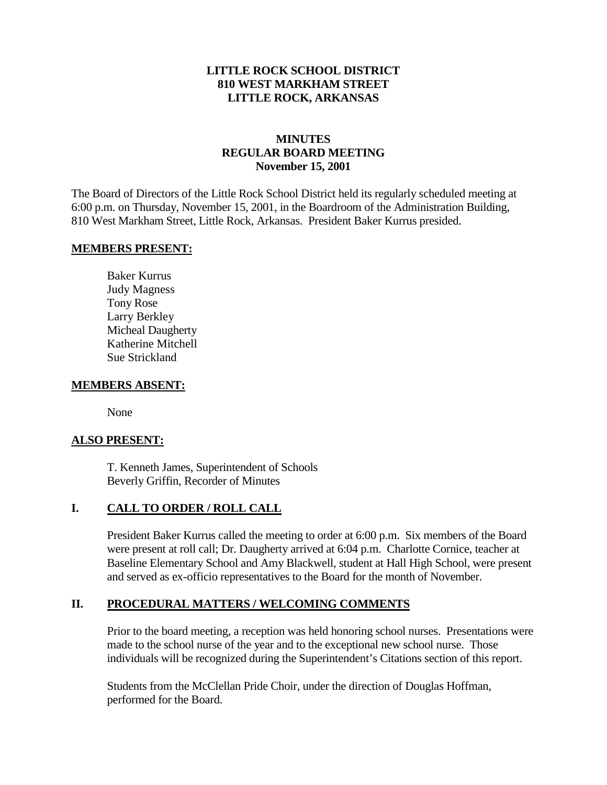### **LITTLE ROCK SCHOOL DISTRICT 810 WEST MARKHAM STREET LITTLE ROCK, ARKANSAS**

# **MINUTES REGULAR BOARD MEETING November 15, 2001**

The Board of Directors of the Little Rock School District held its regularly scheduled meeting at 6:00 p.m. on Thursday, November 15, 2001, in the Boardroom of the Administration Building, 810 West Markham Street, Little Rock, Arkansas. President Baker Kurrus presided.

#### **MEMBERS PRESENT:**

Baker Kurrus Judy Magness Tony Rose Larry Berkley Micheal Daugherty Katherine Mitchell Sue Strickland

#### **MEMBERS ABSENT:**

None

### **ALSO PRESENT:**

T. Kenneth James, Superintendent of Schools Beverly Griffin, Recorder of Minutes

### **I. CALL TO ORDER / ROLL CALL**

President Baker Kurrus called the meeting to order at 6:00 p.m. Six members of the Board were present at roll call; Dr. Daugherty arrived at 6:04 p.m. Charlotte Cornice, teacher at Baseline Elementary School and Amy Blackwell, student at Hall High School, were present and served as ex-officio representatives to the Board for the month of November.

### **II. PROCEDURAL MATTERS / WELCOMING COMMENTS**

Prior to the board meeting, a reception was held honoring school nurses. Presentations were made to the school nurse of the year and to the exceptional new school nurse. Those individuals will be recognized during the Superintendent's Citations section of this report.

Students from the McClellan Pride Choir, under the direction of Douglas Hoffman, performed for the Board.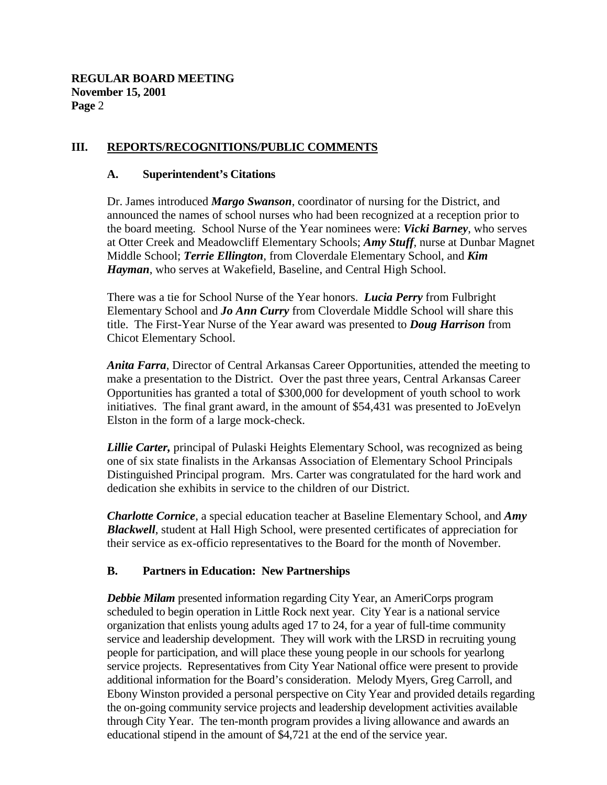### **III. REPORTS/RECOGNITIONS/PUBLIC COMMENTS**

#### **A. Superintendent's Citations**

Dr. James introduced *Margo Swanson*, coordinator of nursing for the District, and announced the names of school nurses who had been recognized at a reception prior to the board meeting. School Nurse of the Year nominees were: *Vicki Barney*, who serves at Otter Creek and Meadowcliff Elementary Schools; *Amy Stuff*, nurse at Dunbar Magnet Middle School; *Terrie Ellington*, from Cloverdale Elementary School, and *Kim Hayman*, who serves at Wakefield, Baseline, and Central High School.

There was a tie for School Nurse of the Year honors. *Lucia Perry* from Fulbright Elementary School and *Jo Ann Curry* from Cloverdale Middle School will share this title. The First-Year Nurse of the Year award was presented to *Doug Harrison* from Chicot Elementary School.

*Anita Farra*, Director of Central Arkansas Career Opportunities, attended the meeting to make a presentation to the District. Over the past three years, Central Arkansas Career Opportunities has granted a total of \$300,000 for development of youth school to work initiatives. The final grant award, in the amount of \$54,431 was presented to JoEvelyn Elston in the form of a large mock-check.

*Lillie Carter,* principal of Pulaski Heights Elementary School, was recognized as being one of six state finalists in the Arkansas Association of Elementary School Principals Distinguished Principal program. Mrs. Carter was congratulated for the hard work and dedication she exhibits in service to the children of our District.

*Charlotte Cornice*, a special education teacher at Baseline Elementary School, and *Amy Blackwell*, student at Hall High School, were presented certificates of appreciation for their service as ex-officio representatives to the Board for the month of November.

### **B. Partners in Education: New Partnerships**

*Debbie Milam* presented information regarding City Year, an AmeriCorps program scheduled to begin operation in Little Rock next year. City Year is a national service organization that enlists young adults aged 17 to 24, for a year of full-time community service and leadership development. They will work with the LRSD in recruiting young people for participation, and will place these young people in our schools for yearlong service projects. Representatives from City Year National office were present to provide additional information for the Board's consideration. Melody Myers, Greg Carroll, and Ebony Winston provided a personal perspective on City Year and provided details regarding the on-going community service projects and leadership development activities available through City Year. The ten-month program provides a living allowance and awards an educational stipend in the amount of \$4,721 at the end of the service year.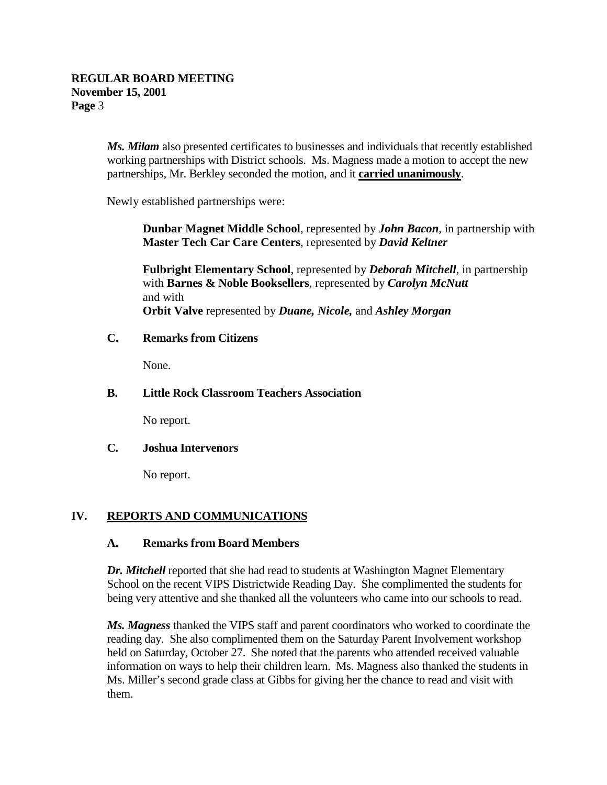*Ms. Milam* also presented certificates to businesses and individuals that recently established working partnerships with District schools. Ms. Magness made a motion to accept the new partnerships, Mr. Berkley seconded the motion, and it **carried unanimously**.

Newly established partnerships were:

**Dunbar Magnet Middle School**, represented by *John Bacon*, in partnership with **Master Tech Car Care Centers**, represented by *David Keltner*

**Fulbright Elementary School**, represented by *Deborah Mitchell*, in partnership with **Barnes & Noble Booksellers**, represented by *Carolyn McNutt* and with **Orbit Valve** represented by *Duane, Nicole,* and *Ashley Morgan*

### **C. Remarks from Citizens**

None.

### **B. Little Rock Classroom Teachers Association**

No report.

### **C. Joshua Intervenors**

No report.

# **IV. REPORTS AND COMMUNICATIONS**

### **A. Remarks from Board Members**

*Dr. Mitchell* reported that she had read to students at Washington Magnet Elementary School on the recent VIPS Districtwide Reading Day. She complimented the students for being very attentive and she thanked all the volunteers who came into our schools to read.

*Ms. Magness* thanked the VIPS staff and parent coordinators who worked to coordinate the reading day. She also complimented them on the Saturday Parent Involvement workshop held on Saturday, October 27. She noted that the parents who attended received valuable information on ways to help their children learn. Ms. Magness also thanked the students in Ms. Miller's second grade class at Gibbs for giving her the chance to read and visit with them.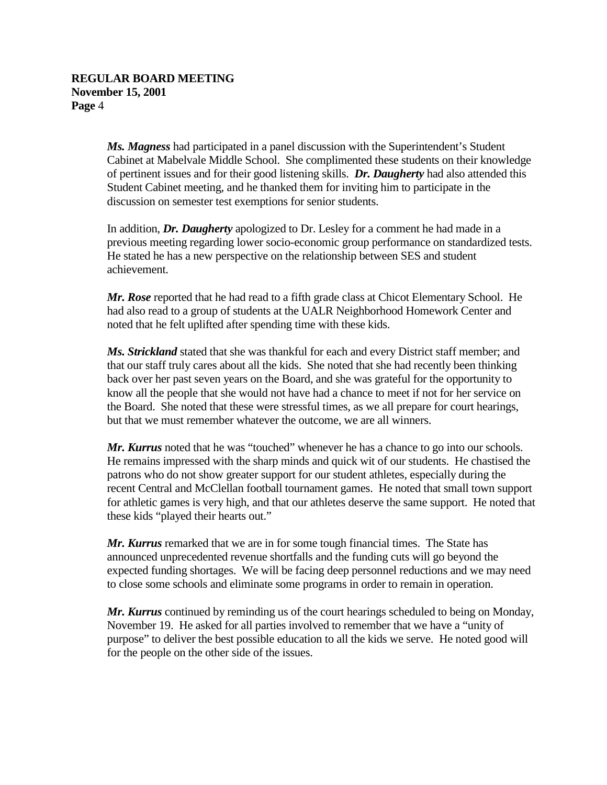*Ms. Magness* had participated in a panel discussion with the Superintendent's Student Cabinet at Mabelvale Middle School. She complimented these students on their knowledge of pertinent issues and for their good listening skills. *Dr. Daugherty* had also attended this Student Cabinet meeting, and he thanked them for inviting him to participate in the discussion on semester test exemptions for senior students.

In addition, *Dr. Daugherty* apologized to Dr. Lesley for a comment he had made in a previous meeting regarding lower socio-economic group performance on standardized tests. He stated he has a new perspective on the relationship between SES and student achievement.

*Mr. Rose* reported that he had read to a fifth grade class at Chicot Elementary School. He had also read to a group of students at the UALR Neighborhood Homework Center and noted that he felt uplifted after spending time with these kids.

*Ms. Strickland* stated that she was thankful for each and every District staff member; and that our staff truly cares about all the kids. She noted that she had recently been thinking back over her past seven years on the Board, and she was grateful for the opportunity to know all the people that she would not have had a chance to meet if not for her service on the Board. She noted that these were stressful times, as we all prepare for court hearings, but that we must remember whatever the outcome, we are all winners.

*Mr. Kurrus* noted that he was "touched" whenever he has a chance to go into our schools. He remains impressed with the sharp minds and quick wit of our students. He chastised the patrons who do not show greater support for our student athletes, especially during the recent Central and McClellan football tournament games. He noted that small town support for athletic games is very high, and that our athletes deserve the same support. He noted that these kids "played their hearts out."

*Mr. Kurrus* remarked that we are in for some tough financial times. The State has announced unprecedented revenue shortfalls and the funding cuts will go beyond the expected funding shortages. We will be facing deep personnel reductions and we may need to close some schools and eliminate some programs in order to remain in operation.

*Mr. Kurrus* continued by reminding us of the court hearings scheduled to being on Monday, November 19. He asked for all parties involved to remember that we have a "unity of purpose" to deliver the best possible education to all the kids we serve. He noted good will for the people on the other side of the issues.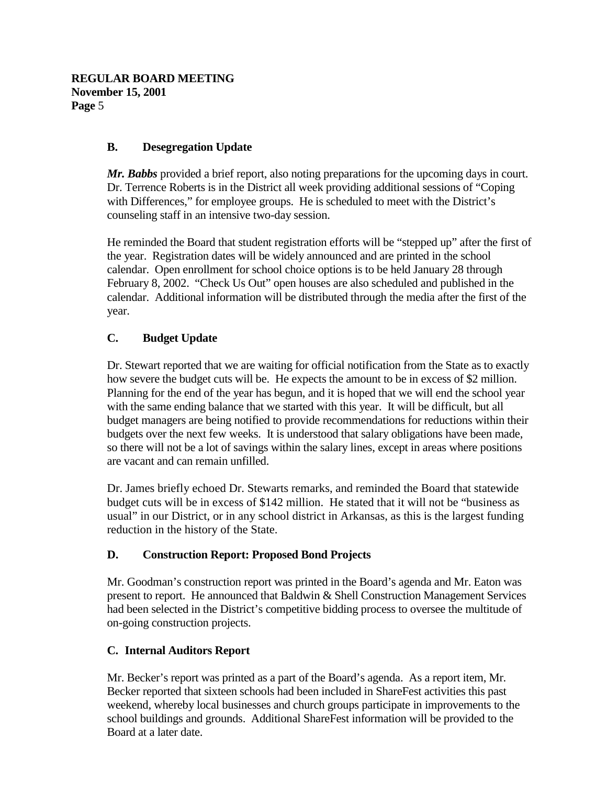# **B. Desegregation Update**

*Mr. Babbs* provided a brief report, also noting preparations for the upcoming days in court. Dr. Terrence Roberts is in the District all week providing additional sessions of "Coping with Differences," for employee groups. He is scheduled to meet with the District's counseling staff in an intensive two-day session.

He reminded the Board that student registration efforts will be "stepped up" after the first of the year. Registration dates will be widely announced and are printed in the school calendar. Open enrollment for school choice options is to be held January 28 through February 8, 2002. "Check Us Out" open houses are also scheduled and published in the calendar. Additional information will be distributed through the media after the first of the year.

# **C. Budget Update**

Dr. Stewart reported that we are waiting for official notification from the State as to exactly how severe the budget cuts will be. He expects the amount to be in excess of \$2 million. Planning for the end of the year has begun, and it is hoped that we will end the school year with the same ending balance that we started with this year. It will be difficult, but all budget managers are being notified to provide recommendations for reductions within their budgets over the next few weeks. It is understood that salary obligations have been made, so there will not be a lot of savings within the salary lines, except in areas where positions are vacant and can remain unfilled.

Dr. James briefly echoed Dr. Stewarts remarks, and reminded the Board that statewide budget cuts will be in excess of \$142 million. He stated that it will not be "business as usual" in our District, or in any school district in Arkansas, as this is the largest funding reduction in the history of the State.

# **D. Construction Report: Proposed Bond Projects**

Mr. Goodman's construction report was printed in the Board's agenda and Mr. Eaton was present to report. He announced that Baldwin & Shell Construction Management Services had been selected in the District's competitive bidding process to oversee the multitude of on-going construction projects.

# **C. Internal Auditors Report**

Mr. Becker's report was printed as a part of the Board's agenda. As a report item, Mr. Becker reported that sixteen schools had been included in ShareFest activities this past weekend, whereby local businesses and church groups participate in improvements to the school buildings and grounds. Additional ShareFest information will be provided to the Board at a later date.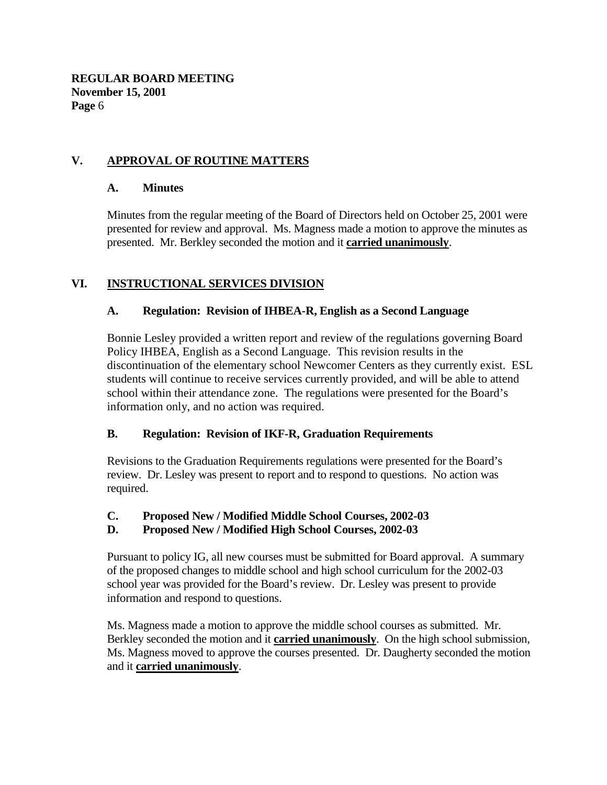# **V. APPROVAL OF ROUTINE MATTERS**

### **A. Minutes**

Minutes from the regular meeting of the Board of Directors held on October 25, 2001 were presented for review and approval. Ms. Magness made a motion to approve the minutes as presented. Mr. Berkley seconded the motion and it **carried unanimously**.

# **VI. INSTRUCTIONAL SERVICES DIVISION**

### **A. Regulation: Revision of IHBEA-R, English as a Second Language**

Bonnie Lesley provided a written report and review of the regulations governing Board Policy IHBEA, English as a Second Language. This revision results in the discontinuation of the elementary school Newcomer Centers as they currently exist. ESL students will continue to receive services currently provided, and will be able to attend school within their attendance zone. The regulations were presented for the Board's information only, and no action was required.

# **B. Regulation: Revision of IKF-R, Graduation Requirements**

Revisions to the Graduation Requirements regulations were presented for the Board's review. Dr. Lesley was present to report and to respond to questions. No action was required.

### **C. Proposed New / Modified Middle School Courses, 2002-03**

# **D. Proposed New / Modified High School Courses, 2002-03**

Pursuant to policy IG, all new courses must be submitted for Board approval. A summary of the proposed changes to middle school and high school curriculum for the 2002-03 school year was provided for the Board's review. Dr. Lesley was present to provide information and respond to questions.

Ms. Magness made a motion to approve the middle school courses as submitted. Mr. Berkley seconded the motion and it **carried unanimously**. On the high school submission, Ms. Magness moved to approve the courses presented. Dr. Daugherty seconded the motion and it **carried unanimously**.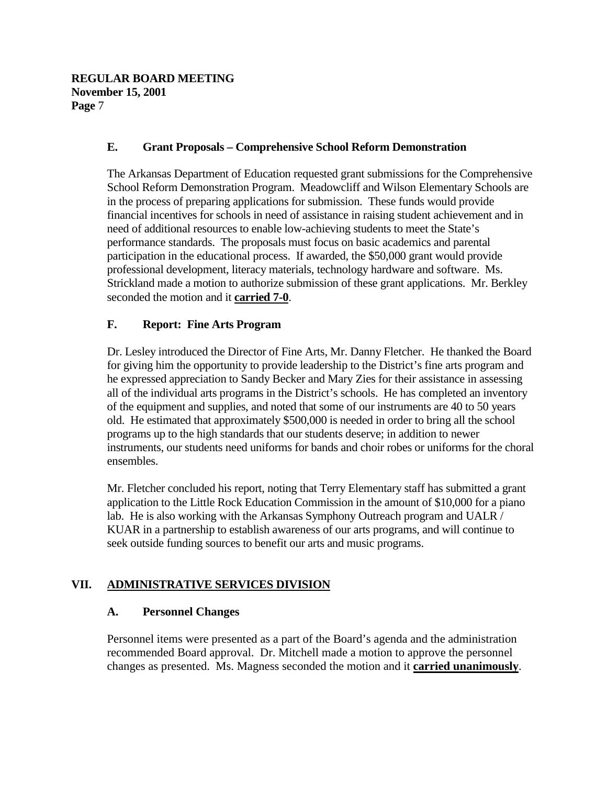### **E. Grant Proposals – Comprehensive School Reform Demonstration**

The Arkansas Department of Education requested grant submissions for the Comprehensive School Reform Demonstration Program. Meadowcliff and Wilson Elementary Schools are in the process of preparing applications for submission. These funds would provide financial incentives for schools in need of assistance in raising student achievement and in need of additional resources to enable low-achieving students to meet the State's performance standards. The proposals must focus on basic academics and parental participation in the educational process. If awarded, the \$50,000 grant would provide professional development, literacy materials, technology hardware and software. Ms. Strickland made a motion to authorize submission of these grant applications. Mr. Berkley seconded the motion and it **carried 7-0**.

### **F. Report: Fine Arts Program**

Dr. Lesley introduced the Director of Fine Arts, Mr. Danny Fletcher. He thanked the Board for giving him the opportunity to provide leadership to the District's fine arts program and he expressed appreciation to Sandy Becker and Mary Zies for their assistance in assessing all of the individual arts programs in the District's schools. He has completed an inventory of the equipment and supplies, and noted that some of our instruments are 40 to 50 years old. He estimated that approximately \$500,000 is needed in order to bring all the school programs up to the high standards that our students deserve; in addition to newer instruments, our students need uniforms for bands and choir robes or uniforms for the choral ensembles.

Mr. Fletcher concluded his report, noting that Terry Elementary staff has submitted a grant application to the Little Rock Education Commission in the amount of \$10,000 for a piano lab. He is also working with the Arkansas Symphony Outreach program and UALR / KUAR in a partnership to establish awareness of our arts programs, and will continue to seek outside funding sources to benefit our arts and music programs.

# **VII. ADMINISTRATIVE SERVICES DIVISION**

### **A. Personnel Changes**

Personnel items were presented as a part of the Board's agenda and the administration recommended Board approval. Dr. Mitchell made a motion to approve the personnel changes as presented. Ms. Magness seconded the motion and it **carried unanimously**.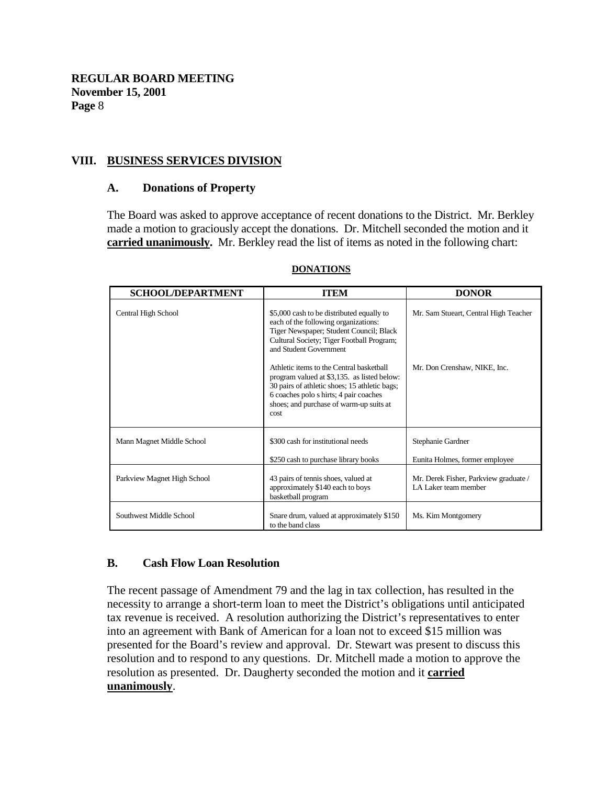### **VIII. BUSINESS SERVICES DIVISION**

#### **A. Donations of Property**

The Board was asked to approve acceptance of recent donations to the District. Mr. Berkley made a motion to graciously accept the donations. Dr. Mitchell seconded the motion and it **carried unanimously.** Mr. Berkley read the list of items as noted in the following chart:

| <b>SCHOOL/DEPARTMENT</b>    | <b>ITEM</b>                                                                                                                                                                                                                            | <b>DONOR</b>                                                  |
|-----------------------------|----------------------------------------------------------------------------------------------------------------------------------------------------------------------------------------------------------------------------------------|---------------------------------------------------------------|
| Central High School         | \$5,000 cash to be distributed equally to<br>each of the following organizations:<br>Tiger Newspaper; Student Council; Black<br>Cultural Society; Tiger Football Program;<br>and Student Government                                    | Mr. Sam Stueart, Central High Teacher                         |
|                             | Athletic items to the Central basketball<br>program valued at \$3,135. as listed below:<br>30 pairs of athletic shoes; 15 athletic bags;<br>6 coaches polo s hirts; 4 pair coaches<br>shoes; and purchase of warm-up suits at<br>cost. | Mr. Don Crenshaw, NIKE, Inc.                                  |
| Mann Magnet Middle School   | \$300 cash for institutional needs<br>\$250 cash to purchase library books                                                                                                                                                             | Stephanie Gardner<br>Eunita Holmes, former employee           |
| Parkview Magnet High School | 43 pairs of tennis shoes, valued at<br>approximately \$140 each to boys<br>basketball program                                                                                                                                          | Mr. Derek Fisher, Parkview graduate /<br>LA Laker team member |
| Southwest Middle School     | Snare drum, valued at approximately \$150<br>to the band class                                                                                                                                                                         | Ms. Kim Montgomery                                            |

#### **DONATIONS**

### **B. Cash Flow Loan Resolution**

The recent passage of Amendment 79 and the lag in tax collection, has resulted in the necessity to arrange a short-term loan to meet the District's obligations until anticipated tax revenue is received. A resolution authorizing the District's representatives to enter into an agreement with Bank of American for a loan not to exceed \$15 million was presented for the Board's review and approval. Dr. Stewart was present to discuss this resolution and to respond to any questions. Dr. Mitchell made a motion to approve the resolution as presented. Dr. Daugherty seconded the motion and it **carried unanimously**.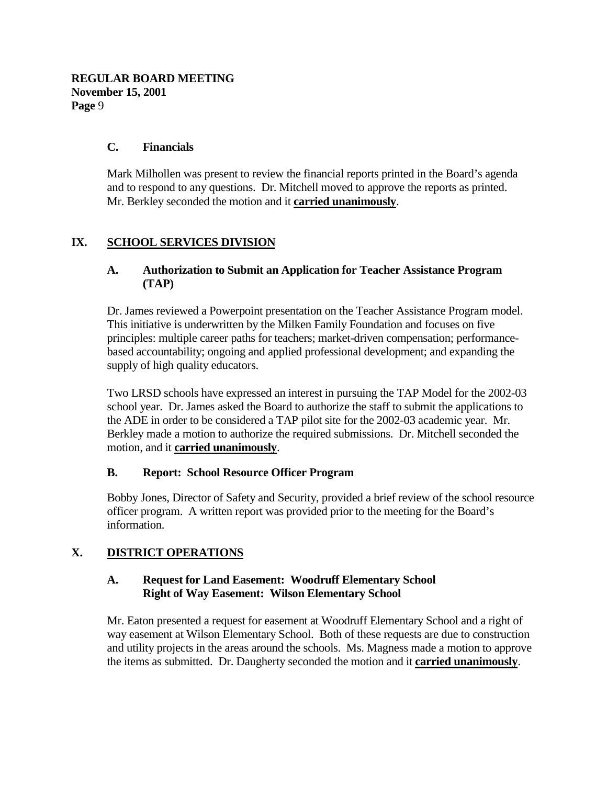### **C. Financials**

Mark Milhollen was present to review the financial reports printed in the Board's agenda and to respond to any questions. Dr. Mitchell moved to approve the reports as printed. Mr. Berkley seconded the motion and it **carried unanimously**.

# **IX. SCHOOL SERVICES DIVISION**

### **A. Authorization to Submit an Application for Teacher Assistance Program (TAP)**

Dr. James reviewed a Powerpoint presentation on the Teacher Assistance Program model. This initiative is underwritten by the Milken Family Foundation and focuses on five principles: multiple career paths for teachers; market-driven compensation; performancebased accountability; ongoing and applied professional development; and expanding the supply of high quality educators.

Two LRSD schools have expressed an interest in pursuing the TAP Model for the 2002-03 school year. Dr. James asked the Board to authorize the staff to submit the applications to the ADE in order to be considered a TAP pilot site for the 2002-03 academic year. Mr. Berkley made a motion to authorize the required submissions. Dr. Mitchell seconded the motion, and it **carried unanimously**.

### **B. Report: School Resource Officer Program**

Bobby Jones, Director of Safety and Security, provided a brief review of the school resource officer program. A written report was provided prior to the meeting for the Board's information.

# **X. DISTRICT OPERATIONS**

### **A. Request for Land Easement: Woodruff Elementary School Right of Way Easement: Wilson Elementary School**

Mr. Eaton presented a request for easement at Woodruff Elementary School and a right of way easement at Wilson Elementary School. Both of these requests are due to construction and utility projects in the areas around the schools. Ms. Magness made a motion to approve the items as submitted. Dr. Daugherty seconded the motion and it **carried unanimously**.